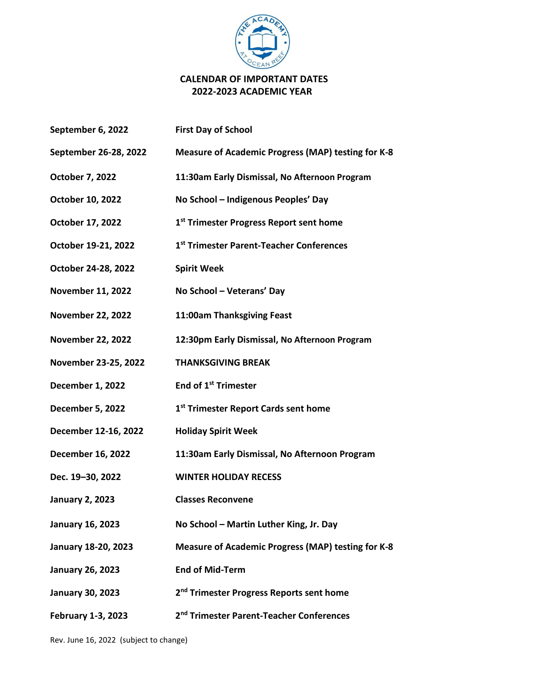

## **CALENDAR OF IMPORTANT DATES 2022-2023 ACADEMIC YEAR**

| September 6, 2022        | <b>First Day of School</b>                                |
|--------------------------|-----------------------------------------------------------|
| September 26-28, 2022    | <b>Measure of Academic Progress (MAP) testing for K-8</b> |
| <b>October 7, 2022</b>   | 11:30am Early Dismissal, No Afternoon Program             |
| October 10, 2022         | No School - Indigenous Peoples' Day                       |
| October 17, 2022         | 1 <sup>st</sup> Trimester Progress Report sent home       |
| October 19-21, 2022      | 1st Trimester Parent-Teacher Conferences                  |
| October 24-28, 2022      | <b>Spirit Week</b>                                        |
| <b>November 11, 2022</b> | No School - Veterans' Day                                 |
| <b>November 22, 2022</b> | 11:00am Thanksgiving Feast                                |
| <b>November 22, 2022</b> | 12:30pm Early Dismissal, No Afternoon Program             |
| November 23-25, 2022     | <b>THANKSGIVING BREAK</b>                                 |
| <b>December 1, 2022</b>  | End of 1 <sup>st</sup> Trimester                          |
| <b>December 5, 2022</b>  | 1 <sup>st</sup> Trimester Report Cards sent home          |
| December 12-16, 2022     | <b>Holiday Spirit Week</b>                                |
| <b>December 16, 2022</b> | 11:30am Early Dismissal, No Afternoon Program             |
| Dec. 19-30, 2022         | <b>WINTER HOLIDAY RECESS</b>                              |
| <b>January 2, 2023</b>   | <b>Classes Reconvene</b>                                  |
| <b>January 16, 2023</b>  | No School - Martin Luther King, Jr. Day                   |
| January 18-20, 2023      | <b>Measure of Academic Progress (MAP) testing for K-8</b> |
| <b>January 26, 2023</b>  | <b>End of Mid-Term</b>                                    |
| <b>January 30, 2023</b>  | 2 <sup>nd</sup> Trimester Progress Reports sent home      |
| February 1-3, 2023       | 2 <sup>nd</sup> Trimester Parent-Teacher Conferences      |